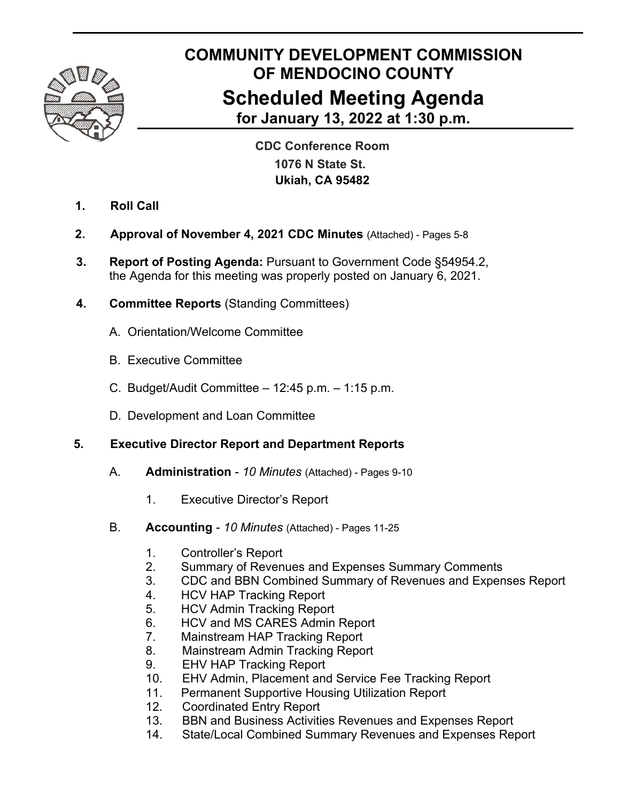

# **COMMUNITY DEVELOPMENT COMMISSION OF MENDOCINO COUNTY Scheduled Meeting Agenda for January 13, 2022 at 1:30 p.m.**

 **CDC Conference Room 1076 N State St. Ukiah, CA 95482**

- **1. Roll Call**
- **2. Approval of November 4, 2021 CDC Minutes** (Attached) Pages 5-8
- **3. Report of Posting Agenda:** Pursuant to Government Code §54954.2, the Agenda for this meeting was properly posted on January 6, 2021.
- **4. Committee Reports** (Standing Committees)
	- A. Orientation/Welcome Committee
	- B. Executive Committee
	- C. Budget/Audit Committee 12:45 p.m. 1:15 p.m.
	- D. Development and Loan Committee

## **5. Executive Director Report and Department Reports**

- A. **Administration**  *10 Minutes* (Attached) Pages 9-10
	- 1. Executive Director's Report
- B. **Accounting**  *10 Minutes* (Attached) Pages 11-25
	- 1. Controller's Report
	- 2. Summary of Revenues and Expenses Summary Comments
	- 3. CDC and BBN Combined Summary of Revenues and Expenses Report
	- 4. HCV HAP Tracking Report
	- 5. HCV Admin Tracking Report
	- 6. HCV and MS CARES Admin Report
	- 7. Mainstream HAP Tracking Report
	- 8. Mainstream Admin Tracking Report
	- 9. EHV HAP Tracking Report
	- 10. EHV Admin, Placement and Service Fee Tracking Report
	- 11. Permanent Supportive Housing Utilization Report
	- 12. Coordinated Entry Report
	- 13. BBN and Business Activities Revenues and Expenses Report
	- 14. State/Local Combined Summary Revenues and Expenses Report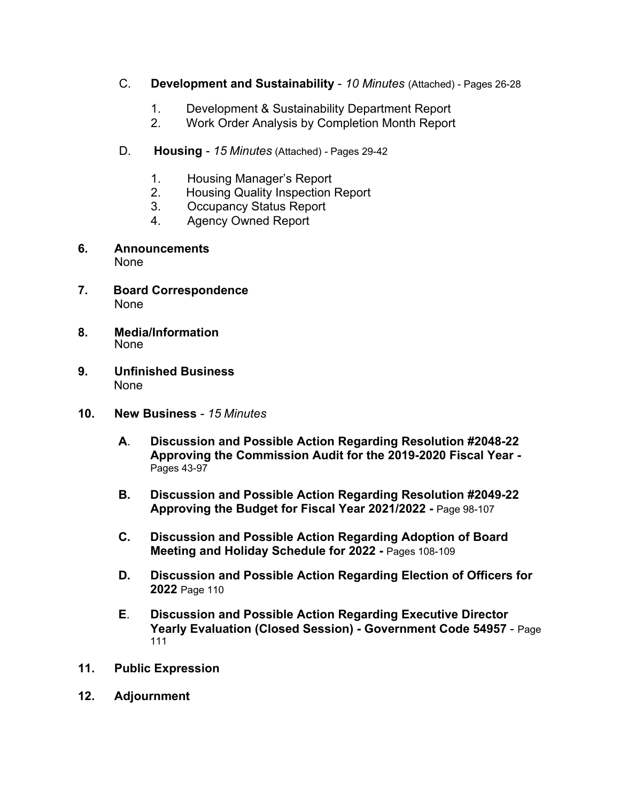- C. **Development and Sustainability**  *10 Minutes* (Attached) Pages 26-28
	- 1. Development & Sustainability Department Report
	- 2. Work Order Analysis by Completion Month Report
- D. **Housing**  *15 Minutes* (Attached) Pages 29-42
	- 1. Housing Manager's Report
	- 2. Housing Quality Inspection Report
	- 3. Occupancy Status Report
	- 4. Agency Owned Report
- **6. Announcements** None
- **7. Board Correspondence** None
- **8. Media/Information** None
- **9. Unfinished Business**  None
- **10. New Business**  *15 Minutes*
	- **A**. **Discussion and Possible Action Regarding Resolution #2048-22 Approving the Commission Audit for the 2019-2020 Fiscal Year -**  Pages 43-97
	- **B. Discussion and Possible Action Regarding Resolution #2049-22 Approving the Budget for Fiscal Year 2021/2022 -** Page 98-107
	- **C. Discussion and Possible Action Regarding Adoption of Board Meeting and Holiday Schedule for 2022 -** Pages 108-109
	- **D. Discussion and Possible Action Regarding Election of Officers for 2022** Page 110
	- **E**. **Discussion and Possible Action Regarding Executive Director Yearly Evaluation (Closed Session) - Government Code 54957** - Page 111
- **11. Public Expression**
- **12. Adjournment**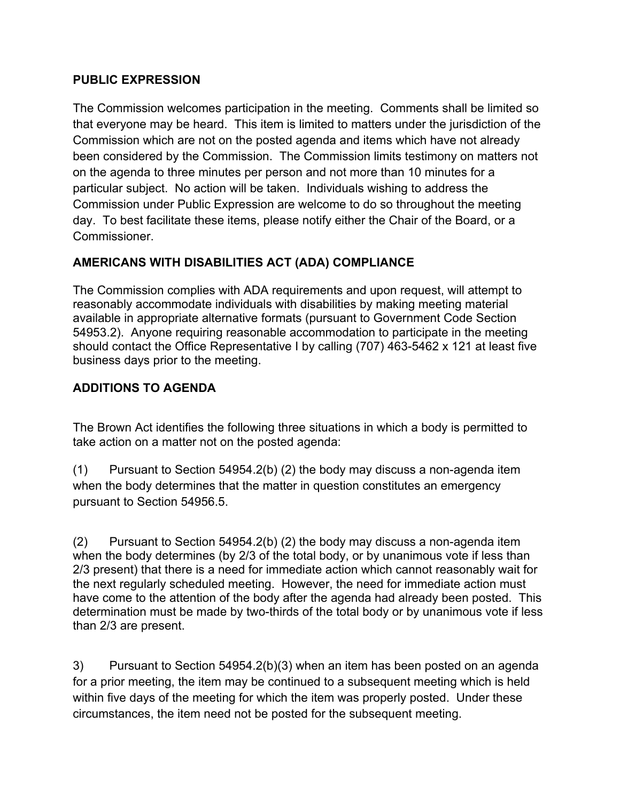#### **PUBLIC EXPRESSION**

The Commission welcomes participation in the meeting. Comments shall be limited so that everyone may be heard. This item is limited to matters under the jurisdiction of the Commission which are not on the posted agenda and items which have not already been considered by the Commission. The Commission limits testimony on matters not on the agenda to three minutes per person and not more than 10 minutes for a particular subject. No action will be taken. Individuals wishing to address the Commission under Public Expression are welcome to do so throughout the meeting day. To best facilitate these items, please notify either the Chair of the Board, or a Commissioner.

## **AMERICANS WITH DISABILITIES ACT (ADA) COMPLIANCE**

The Commission complies with ADA requirements and upon request, will attempt to reasonably accommodate individuals with disabilities by making meeting material available in appropriate alternative formats (pursuant to Government Code Section 54953.2). Anyone requiring reasonable accommodation to participate in the meeting should contact the Office Representative I by calling (707) 463-5462 x 121 at least five business days prior to the meeting.

### **ADDITIONS TO AGENDA**

The Brown Act identifies the following three situations in which a body is permitted to take action on a matter not on the posted agenda:

(1) Pursuant to Section 54954.2(b) (2) the body may discuss a non-agenda item when the body determines that the matter in question constitutes an emergency pursuant to Section 54956.5.

(2) Pursuant to Section 54954.2(b) (2) the body may discuss a non-agenda item when the body determines (by 2/3 of the total body, or by unanimous vote if less than 2/3 present) that there is a need for immediate action which cannot reasonably wait for the next regularly scheduled meeting. However, the need for immediate action must have come to the attention of the body after the agenda had already been posted. This determination must be made by two-thirds of the total body or by unanimous vote if less than 2/3 are present.

3) Pursuant to Section 54954.2(b)(3) when an item has been posted on an agenda for a prior meeting, the item may be continued to a subsequent meeting which is held within five days of the meeting for which the item was properly posted. Under these circumstances, the item need not be posted for the subsequent meeting.